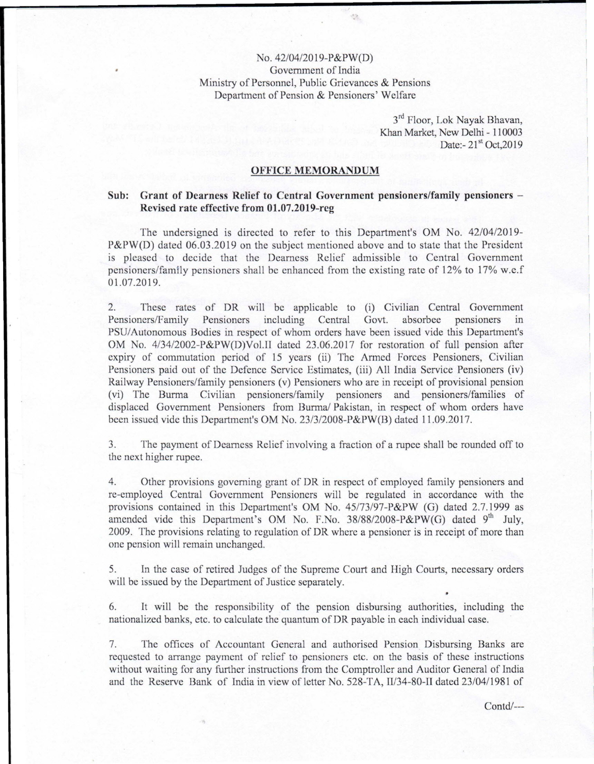## No. 42/04/20 19-P&PW(D) Government of India Ministry of Personnel, Public Grievances & Pensions Department of Pension & Pensioners' Welfare

 $\mathcal{L}^{\star}$ 

3<sup>rd</sup> Floor, Lok Nayak Bhavan Khan Market, New Delhi - 110003 Date:- 21<sup>st</sup> Oct, 2019

## OFFICE MEMORANDUM

## Sub: Grant of Dearness Relief to Central Government pensioners/family pensioners - Revised rate effective from 01.07.2019-reg

The undersigned is directed to refer to this Department's OM No. 42/04/2019- P&PW(D) dated 06.03.2019 on the subject mentioned above and to state that the President is pleased to decide that the Dearness Relief admissible to Central Government pensioners/family pensioners shall be enhanced from the existing rate of 12% to 17% w.e.f 01.07.2019.

2. These rates of DR will be applicable to (i) Civilian Central Government Pensioners/Family Pensioners including Central Govt. absorbee pensioners in PSU/ Autonomous Bodies in respect of whom orders have been issued vide this Department's OM No. 4/34/2002-P&PW(D)Vol.II dated 23.06.2017 for restoration of full pension after expiry of commutation period of IS years (ii) The Armed Forces Pensioners, Civilian Pensioners paid out of the Defence Service Estimates, (iii) All India Service Pensioners (iv) Railway Pensioners/family pensioners (v) Pensioners who are in receipt of provisional pension (vi) The Burma Civilian pensioners/family pensioners and pensioners/families of displaced Government Pensioners from Burma/ Pakistan, in respect of whom orders have been issued vide this Department's OM No. 23/3/2008-P&PW(B) dated 11.09.2017.

3. The payment of Dearness Relief involving a fraction of a rupee shall be rounded off to the next higher rupee.

4. Other provisions governing grant of DR in respect of employed family pensioners and re-employed Central Government Pensioners will be regulated in accordance with the provisions contained in this Department's OM No. 45173/97-P&PW (G) dated 2.7.1999 as amended vide this Department's OM No. F.No.  $38/88/2008-P\&PW(G)$  dated 9<sup>th</sup> July 2009. The provisions relating to regulation of DR where a pensioner is in receipt of more than one pension will remain unchanged.

5. In the case of retired Judges of the Supreme Court and High Courts, necessary orders will be issued by the Department of Justice separately.

6. It will be the responsibility of the pension disbursing authorities, including the nationalized banks, etc. to calculate the quantum of DR payable in each individual case.

7. The offices of Accountant General and authorised Pension Disbursing Banks are requested to arrange payment of relief to pensioners etc. on the basis of these instructions without waiting for any further instructions from the Comptroller and Auditor General of India and the Reserve Bank of India in view of letter No. 528-TA, Il/34-80-II dated 23/0411981 of